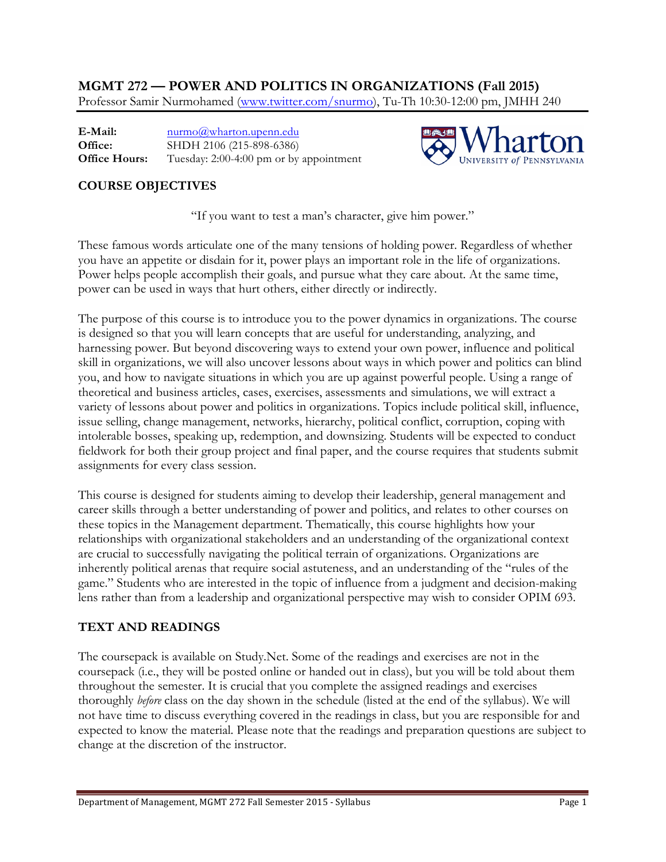**MGMT 272 — POWER AND POLITICS IN ORGANIZATIONS (Fall 2015)** Professor Samir Nurmohamed (www.twitter.com/snurmo), Tu-Th 10:30-12:00 pm, JMHH 240

**E-Mail: Office: Office Hours:** nurmo@wharton.upenn.edu SHDH 2106 (215-898-6386) Tuesday: 2:00-4:00 pm or by appointment



## **COURSE OBJECTIVES**

"If you want to test a man's character, give him power."

These famous words articulate one of the many tensions of holding power. Regardless of whether you have an appetite or disdain for it, power plays an important role in the life of organizations. Power helps people accomplish their goals, and pursue what they care about. At the same time, power can be used in ways that hurt others, either directly or indirectly.

The purpose of this course is to introduce you to the power dynamics in organizations. The course is designed so that you will learn concepts that are useful for understanding, analyzing, and harnessing power. But beyond discovering ways to extend your own power, influence and political skill in organizations, we will also uncover lessons about ways in which power and politics can blind you, and how to navigate situations in which you are up against powerful people. Using a range of theoretical and business articles, cases, exercises, assessments and simulations, we will extract a variety of lessons about power and politics in organizations. Topics include political skill, influence, issue selling, change management, networks, hierarchy, political conflict, corruption, coping with intolerable bosses, speaking up, redemption, and downsizing. Students will be expected to conduct fieldwork for both their group project and final paper, and the course requires that students submit assignments for every class session.

This course is designed for students aiming to develop their leadership, general management and career skills through a better understanding of power and politics, and relates to other courses on these topics in the Management department. Thematically, this course highlights how your relationships with organizational stakeholders and an understanding of the organizational context are crucial to successfully navigating the political terrain of organizations. Organizations are inherently political arenas that require social astuteness, and an understanding of the "rules of the game." Students who are interested in the topic of influence from a judgment and decision-making lens rather than from a leadership and organizational perspective may wish to consider OPIM 693.

## **TEXT AND READINGS**

The coursepack is available on Study.Net. Some of the readings and exercises are not in the coursepack (i.e., they will be posted online or handed out in class), but you will be told about them throughout the semester. It is crucial that you complete the assigned readings and exercises thoroughly *before* class on the day shown in the schedule (listed at the end of the syllabus). We will not have time to discuss everything covered in the readings in class, but you are responsible for and expected to know the material. Please note that the readings and preparation questions are subject to change at the discretion of the instructor.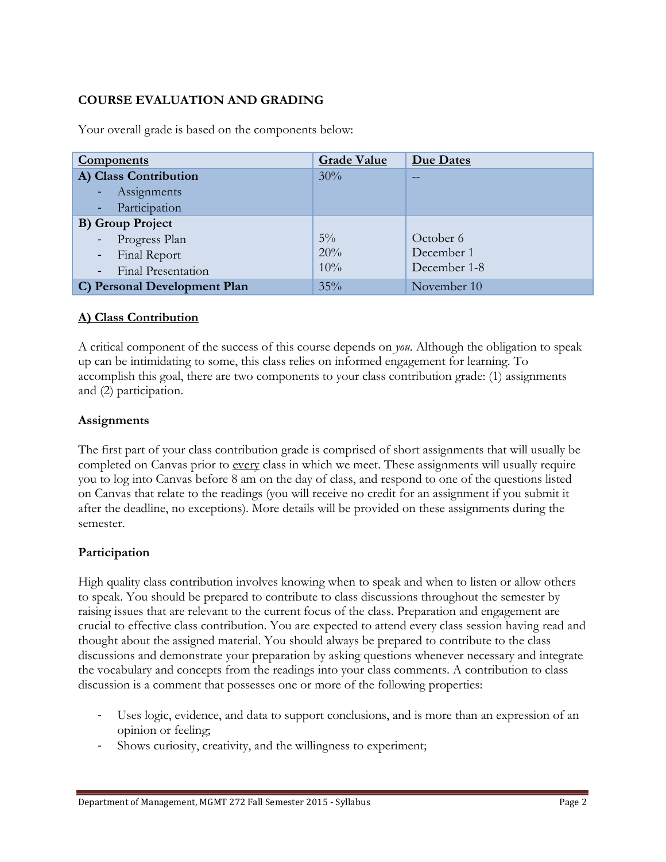## **COURSE EVALUATION AND GRADING**

| <b>Components</b>                        | <b>Grade Value</b> | Due Dates    |
|------------------------------------------|--------------------|--------------|
| A) Class Contribution                    | 30%                | $-$          |
| - Assignments                            |                    |              |
| - Participation                          |                    |              |
| <b>B)</b> Group Project                  |                    |              |
| Progress Plan<br>$\sim$                  | $5\%$              | October 6    |
| Final Report<br>$\overline{\phantom{a}}$ | 20%                | December 1   |
| <b>Final Presentation</b>                | $10\%$             | December 1-8 |
| C) Personal Development Plan             | 35%                | November 10  |

Your overall grade is based on the components below:

#### **A) Class Contribution**

A critical component of the success of this course depends on *you*. Although the obligation to speak up can be intimidating to some, this class relies on informed engagement for learning. To accomplish this goal, there are two components to your class contribution grade: (1) assignments and (2) participation.

#### **Assignments**

The first part of your class contribution grade is comprised of short assignments that will usually be completed on Canvas prior to every class in which we meet. These assignments will usually require you to log into Canvas before 8 am on the day of class, and respond to one of the questions listed on Canvas that relate to the readings (you will receive no credit for an assignment if you submit it after the deadline, no exceptions). More details will be provided on these assignments during the semester.

#### **Participation**

High quality class contribution involves knowing when to speak and when to listen or allow others to speak. You should be prepared to contribute to class discussions throughout the semester by raising issues that are relevant to the current focus of the class. Preparation and engagement are crucial to effective class contribution. You are expected to attend every class session having read and thought about the assigned material. You should always be prepared to contribute to the class discussions and demonstrate your preparation by asking questions whenever necessary and integrate the vocabulary and concepts from the readings into your class comments. A contribution to class discussion is a comment that possesses one or more of the following properties:

- ! Uses logic, evidence, and data to support conclusions, and is more than an expression of an opinion or feeling;
- Shows curiosity, creativity, and the willingness to experiment;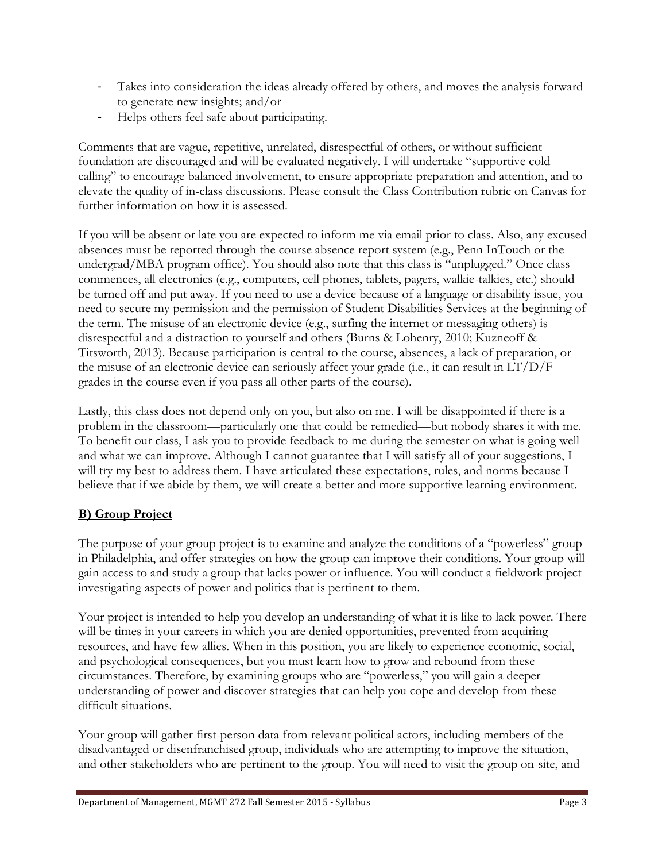- ! Takes into consideration the ideas already offered by others, and moves the analysis forward to generate new insights; and/or
- ! Helps others feel safe about participating.

Comments that are vague, repetitive, unrelated, disrespectful of others, or without sufficient foundation are discouraged and will be evaluated negatively. I will undertake "supportive cold calling" to encourage balanced involvement, to ensure appropriate preparation and attention, and to elevate the quality of in-class discussions. Please consult the Class Contribution rubric on Canvas for further information on how it is assessed.

If you will be absent or late you are expected to inform me via email prior to class. Also, any excused absences must be reported through the course absence report system (e.g., Penn InTouch or the undergrad/MBA program office). You should also note that this class is "unplugged." Once class commences, all electronics (e.g., computers, cell phones, tablets, pagers, walkie-talkies, etc.) should be turned off and put away. If you need to use a device because of a language or disability issue, you need to secure my permission and the permission of Student Disabilities Services at the beginning of the term. The misuse of an electronic device (e.g., surfing the internet or messaging others) is disrespectful and a distraction to yourself and others (Burns & Lohenry, 2010; Kuzneoff & Titsworth, 2013). Because participation is central to the course, absences, a lack of preparation, or the misuse of an electronic device can seriously affect your grade (i.e., it can result in LT/D/F grades in the course even if you pass all other parts of the course).

Lastly, this class does not depend only on you, but also on me. I will be disappointed if there is a problem in the classroom—particularly one that could be remedied—but nobody shares it with me. To benefit our class, I ask you to provide feedback to me during the semester on what is going well and what we can improve. Although I cannot guarantee that I will satisfy all of your suggestions, I will try my best to address them. I have articulated these expectations, rules, and norms because I believe that if we abide by them, we will create a better and more supportive learning environment.

# **B) Group Project**

The purpose of your group project is to examine and analyze the conditions of a "powerless" group in Philadelphia, and offer strategies on how the group can improve their conditions. Your group will gain access to and study a group that lacks power or influence. You will conduct a fieldwork project investigating aspects of power and politics that is pertinent to them.

Your project is intended to help you develop an understanding of what it is like to lack power. There will be times in your careers in which you are denied opportunities, prevented from acquiring resources, and have few allies. When in this position, you are likely to experience economic, social, and psychological consequences, but you must learn how to grow and rebound from these circumstances. Therefore, by examining groups who are "powerless," you will gain a deeper understanding of power and discover strategies that can help you cope and develop from these difficult situations.

Your group will gather first-person data from relevant political actors, including members of the disadvantaged or disenfranchised group, individuals who are attempting to improve the situation, and other stakeholders who are pertinent to the group. You will need to visit the group on-site, and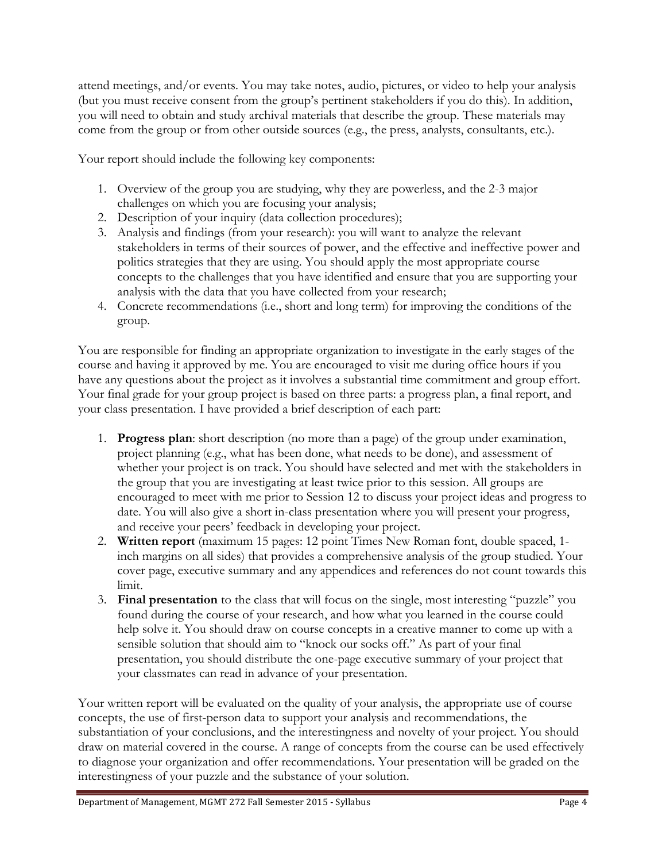attend meetings, and/or events. You may take notes, audio, pictures, or video to help your analysis (but you must receive consent from the group's pertinent stakeholders if you do this). In addition, you will need to obtain and study archival materials that describe the group. These materials may come from the group or from other outside sources (e.g., the press, analysts, consultants, etc.).

Your report should include the following key components:

- 1. Overview of the group you are studying, why they are powerless, and the 2-3 major challenges on which you are focusing your analysis;
- 2. Description of your inquiry (data collection procedures);
- 3. Analysis and findings (from your research): you will want to analyze the relevant stakeholders in terms of their sources of power, and the effective and ineffective power and politics strategies that they are using. You should apply the most appropriate course concepts to the challenges that you have identified and ensure that you are supporting your analysis with the data that you have collected from your research;
- 4. Concrete recommendations (i.e., short and long term) for improving the conditions of the group.

You are responsible for finding an appropriate organization to investigate in the early stages of the course and having it approved by me. You are encouraged to visit me during office hours if you have any questions about the project as it involves a substantial time commitment and group effort. Your final grade for your group project is based on three parts: a progress plan, a final report, and your class presentation. I have provided a brief description of each part:

- 1. **Progress plan**: short description (no more than a page) of the group under examination, project planning (e.g., what has been done, what needs to be done), and assessment of whether your project is on track. You should have selected and met with the stakeholders in the group that you are investigating at least twice prior to this session. All groups are encouraged to meet with me prior to Session 12 to discuss your project ideas and progress to date. You will also give a short in-class presentation where you will present your progress, and receive your peers' feedback in developing your project.
- 2. **Written report** (maximum 15 pages: 12 point Times New Roman font, double spaced, 1 inch margins on all sides) that provides a comprehensive analysis of the group studied. Your cover page, executive summary and any appendices and references do not count towards this limit.
- 3. **Final presentation** to the class that will focus on the single, most interesting "puzzle" you found during the course of your research, and how what you learned in the course could help solve it. You should draw on course concepts in a creative manner to come up with a sensible solution that should aim to "knock our socks off." As part of your final presentation, you should distribute the one-page executive summary of your project that your classmates can read in advance of your presentation.

Your written report will be evaluated on the quality of your analysis, the appropriate use of course concepts, the use of first-person data to support your analysis and recommendations, the substantiation of your conclusions, and the interestingness and novelty of your project. You should draw on material covered in the course. A range of concepts from the course can be used effectively to diagnose your organization and offer recommendations. Your presentation will be graded on the interestingness of your puzzle and the substance of your solution.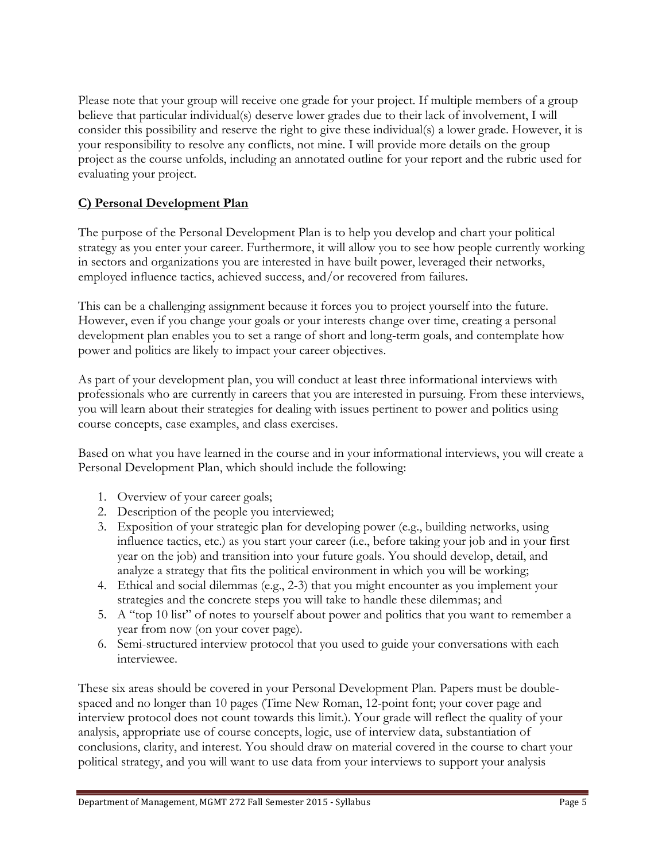Please note that your group will receive one grade for your project. If multiple members of a group believe that particular individual(s) deserve lower grades due to their lack of involvement, I will consider this possibility and reserve the right to give these individual(s) a lower grade. However, it is your responsibility to resolve any conflicts, not mine. I will provide more details on the group project as the course unfolds, including an annotated outline for your report and the rubric used for evaluating your project.

# **C) Personal Development Plan**

The purpose of the Personal Development Plan is to help you develop and chart your political strategy as you enter your career. Furthermore, it will allow you to see how people currently working in sectors and organizations you are interested in have built power, leveraged their networks, employed influence tactics, achieved success, and/or recovered from failures.

This can be a challenging assignment because it forces you to project yourself into the future. However, even if you change your goals or your interests change over time, creating a personal development plan enables you to set a range of short and long-term goals, and contemplate how power and politics are likely to impact your career objectives.

As part of your development plan, you will conduct at least three informational interviews with professionals who are currently in careers that you are interested in pursuing. From these interviews, you will learn about their strategies for dealing with issues pertinent to power and politics using course concepts, case examples, and class exercises.

Based on what you have learned in the course and in your informational interviews, you will create a Personal Development Plan, which should include the following:

- 1. Overview of your career goals;
- 2. Description of the people you interviewed;
- 3. Exposition of your strategic plan for developing power (e.g., building networks, using influence tactics, etc.) as you start your career (i.e., before taking your job and in your first year on the job) and transition into your future goals. You should develop, detail, and analyze a strategy that fits the political environment in which you will be working;
- 4. Ethical and social dilemmas (e.g., 2-3) that you might encounter as you implement your strategies and the concrete steps you will take to handle these dilemmas; and
- 5. A "top 10 list" of notes to yourself about power and politics that you want to remember a year from now (on your cover page).
- 6. Semi-structured interview protocol that you used to guide your conversations with each interviewee.

These six areas should be covered in your Personal Development Plan. Papers must be doublespaced and no longer than 10 pages (Time New Roman, 12-point font; your cover page and interview protocol does not count towards this limit.). Your grade will reflect the quality of your analysis, appropriate use of course concepts, logic, use of interview data, substantiation of conclusions, clarity, and interest. You should draw on material covered in the course to chart your political strategy, and you will want to use data from your interviews to support your analysis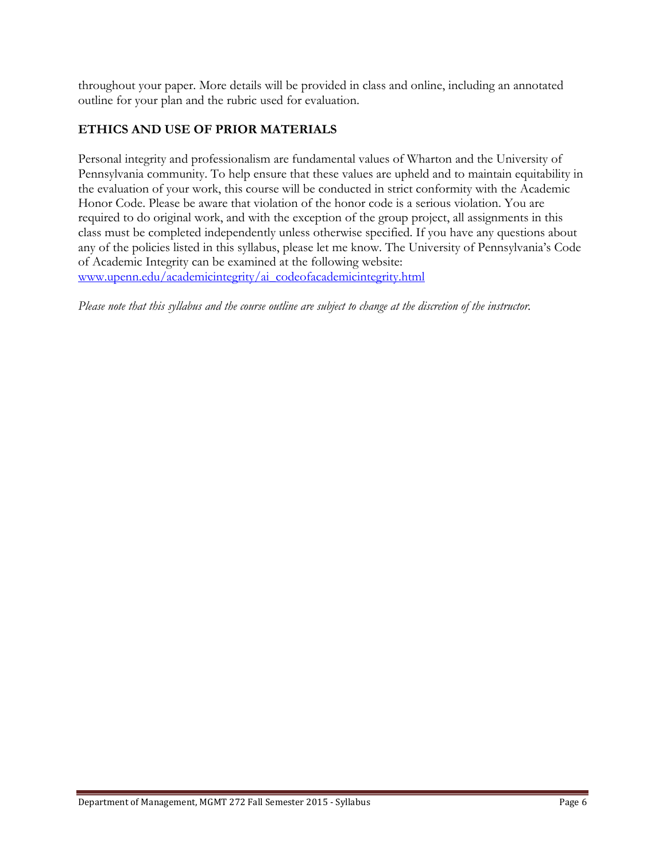throughout your paper. More details will be provided in class and online, including an annotated outline for your plan and the rubric used for evaluation.

## **ETHICS AND USE OF PRIOR MATERIALS**

Personal integrity and professionalism are fundamental values of Wharton and the University of Pennsylvania community. To help ensure that these values are upheld and to maintain equitability in the evaluation of your work, this course will be conducted in strict conformity with the Academic Honor Code. Please be aware that violation of the honor code is a serious violation. You are required to do original work, and with the exception of the group project, all assignments in this class must be completed independently unless otherwise specified. If you have any questions about any of the policies listed in this syllabus, please let me know. The University of Pennsylvania's Code of Academic Integrity can be examined at the following website: www.upenn.edu/academicintegrity/ai\_codeofacademicintegrity.html

*Please note that this syllabus and the course outline are subject to change at the discretion of the instructor.*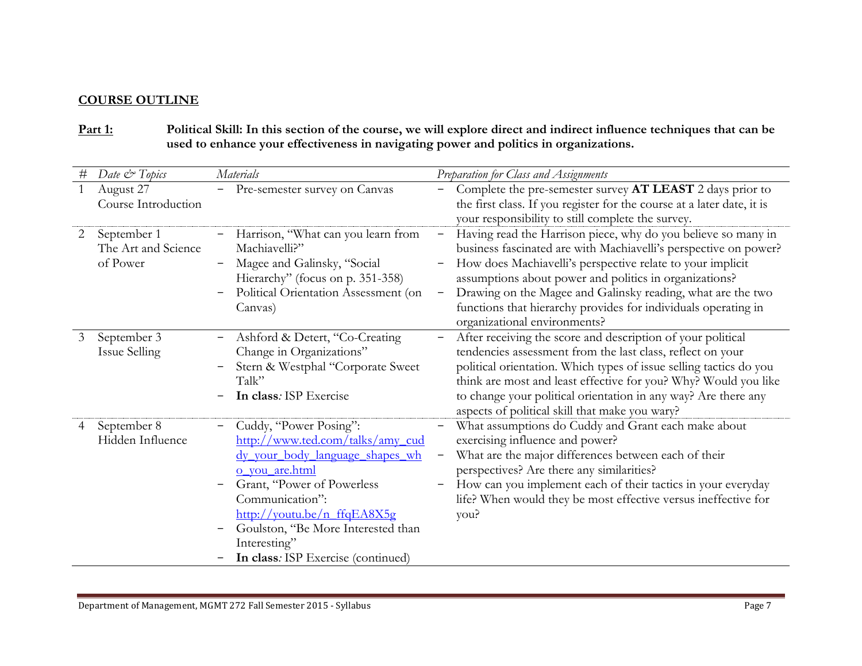## **COURSE OUTLINE**

### **Part 1: Political Skill: In this section of the course, we will explore direct and indirect influence techniques that can be used to enhance your effectiveness in navigating power and politics in organizations.**

| # | Date & Topics                                  | <b>Materials</b>                                                                                                                                                                                                                                                                                                                         | Preparation for Class and Assignments                                                                                                                                                                                                                                                                                                                                                                                      |
|---|------------------------------------------------|------------------------------------------------------------------------------------------------------------------------------------------------------------------------------------------------------------------------------------------------------------------------------------------------------------------------------------------|----------------------------------------------------------------------------------------------------------------------------------------------------------------------------------------------------------------------------------------------------------------------------------------------------------------------------------------------------------------------------------------------------------------------------|
| 1 | August 27<br>Course Introduction               | Pre-semester survey on Canvas                                                                                                                                                                                                                                                                                                            | Complete the pre-semester survey AT LEAST 2 days prior to<br>the first class. If you register for the course at a later date, it is<br>your responsibility to still complete the survey.                                                                                                                                                                                                                                   |
| 2 | September 1<br>The Art and Science<br>of Power | Harrison, "What can you learn from<br>Machiavelli?"<br>Magee and Galinsky, "Social<br>Hierarchy" (focus on p. 351-358)<br>Political Orientation Assessment (on<br>Canvas)                                                                                                                                                                | Having read the Harrison piece, why do you believe so many in<br>business fascinated are with Machiavelli's perspective on power?<br>How does Machiavelli's perspective relate to your implicit<br>assumptions about power and politics in organizations?<br>Drawing on the Magee and Galinsky reading, what are the two<br>functions that hierarchy provides for individuals operating in<br>organizational environments? |
| 3 | September 3<br><b>Issue Selling</b>            | Ashford & Detert, "Co-Creating<br>Change in Organizations"<br>Stern & Westphal "Corporate Sweet<br>Talk"<br>In class: ISP Exercise                                                                                                                                                                                                       | After receiving the score and description of your political<br>tendencies assessment from the last class, reflect on your<br>political orientation. Which types of issue selling tactics do you<br>think are most and least effective for you? Why? Would you like<br>to change your political orientation in any way? Are there any<br>aspects of political skill that make you wary?                                     |
| 4 | September 8<br>Hidden Influence                | Cuddy, "Power Posing":<br>http://www.ted.com/talks/amy_cud<br><u>dy your body language shapes wh</u><br>o you are.html<br>Grant, "Power of Powerless<br>Communication":<br>$\frac{http://voutu.be/n_ffqEASX5g}{http://voutu.be/n_ffqEASX5g}$<br>Goulston, "Be More Interested than<br>Interesting"<br>In class: ISP Exercise (continued) | What assumptions do Cuddy and Grant each make about<br>exercising influence and power?<br>What are the major differences between each of their<br>perspectives? Are there any similarities?<br>How can you implement each of their tactics in your everyday<br>life? When would they be most effective versus ineffective for<br>you?                                                                                      |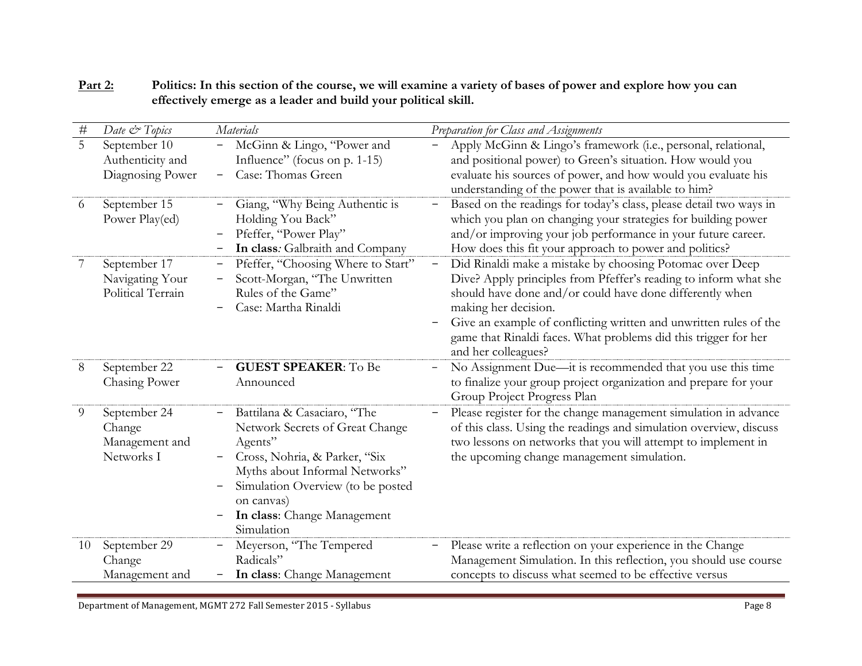| $\#$           | Date & Topics     | Materials                          | Preparation for Class and Assignments                              |
|----------------|-------------------|------------------------------------|--------------------------------------------------------------------|
| $\overline{5}$ | September 10      | McGinn & Lingo, "Power and         | Apply McGinn & Lingo's framework (i.e., personal, relational,      |
|                | Authenticity and  | Influence" (focus on p. 1-15)      | and positional power) to Green's situation. How would you          |
|                | Diagnosing Power  | Case: Thomas Green<br>—            | evaluate his sources of power, and how would you evaluate his      |
|                |                   |                                    | understanding of the power that is available to him?               |
| $\theta$       | September 15      | Giang, "Why Being Authentic is     | Based on the readings for today's class, please detail two ways in |
|                | Power Play(ed)    | Holding You Back"                  | which you plan on changing your strategies for building power      |
|                |                   | Pfeffer, "Power Play"              | and/or improving your job performance in your future career.       |
|                |                   | In class: Galbraith and Company    | How does this fit your approach to power and politics?             |
| 7              | September 17      | Pfeffer, "Choosing Where to Start" | Did Rinaldi make a mistake by choosing Potomac over Deep           |
|                | Navigating Your   | Scott-Morgan, "The Unwritten       | Dive? Apply principles from Pfeffer's reading to inform what she   |
|                | Political Terrain | Rules of the Game"                 | should have done and/or could have done differently when           |
|                |                   | Case: Martha Rinaldi               | making her decision.                                               |
|                |                   |                                    | Give an example of conflicting written and unwritten rules of the  |
|                |                   |                                    | game that Rinaldi faces. What problems did this trigger for her    |
|                |                   |                                    | and her colleagues?                                                |
| 8              | September 22      | <b>GUEST SPEAKER: To Be</b>        | No Assignment Due—it is recommended that you use this time         |
|                | Chasing Power     | Announced                          | to finalize your group project organization and prepare for your   |
|                |                   |                                    | Group Project Progress Plan                                        |
| 9              | September 24      | Battilana & Casaciaro, "The        | Please register for the change management simulation in advance    |
|                | Change            | Network Secrets of Great Change    | of this class. Using the readings and simulation overview, discuss |
|                | Management and    | Agents"                            | two lessons on networks that you will attempt to implement in      |
|                | Networks I        | Cross, Nohria, & Parker, "Six      | the upcoming change management simulation.                         |
|                |                   | Myths about Informal Networks"     |                                                                    |
|                |                   | Simulation Overview (to be posted  |                                                                    |
|                |                   | on canvas)                         |                                                                    |
|                |                   | In class: Change Management        |                                                                    |
|                |                   | Simulation                         |                                                                    |
| 10             | September 29      | Meyerson, "The Tempered            | Please write a reflection on your experience in the Change         |
|                | Change            | Radicals"                          | Management Simulation. In this reflection, you should use course   |
|                | Management and    | In class: Change Management        | concepts to discuss what seemed to be effective versus             |

### **Part 2: Politics: In this section of the course, we will examine a variety of bases of power and explore how you can effectively emerge as a leader and build your political skill.**

Department of Management, MGMT 272 Fall Semester 2015 - Syllabus **Page** 8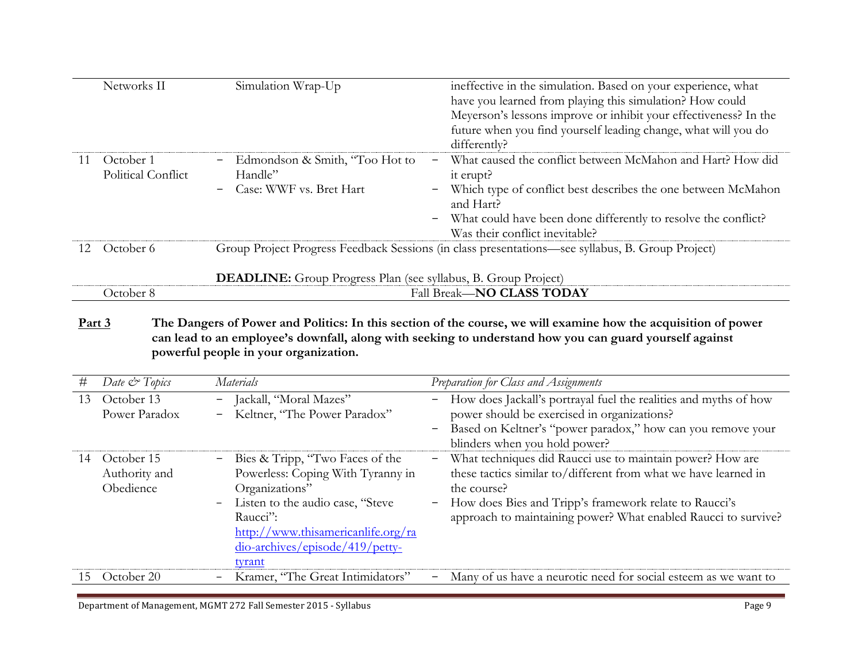|     | Networks II                            | Simulation Wrap-Up                                                              | ineffective in the simulation. Based on your experience, what<br>have you learned from playing this simulation? How could<br>Meyerson's lessons improve or inhibit your effectiveness? In the<br>future when you find yourself leading change, what will you do<br>differently? |
|-----|----------------------------------------|---------------------------------------------------------------------------------|---------------------------------------------------------------------------------------------------------------------------------------------------------------------------------------------------------------------------------------------------------------------------------|
| -11 | October 1<br><b>Political Conflict</b> | Edmondson & Smith, "Too Hot to<br>$ \,$<br>Handle"<br>- Case: WWF vs. Bret Hart | What caused the conflict between McMahon and Hart? How did<br>it erupt?<br>Which type of conflict best describes the one between McMahon<br>−<br>and Hart?<br>- What could have been done differently to resolve the conflict?<br>Was their conflict inevitable?                |
| 12. | October 6                              | <b>DEADLINE:</b> Group Progress Plan (see syllabus, B. Group Project)           | Group Project Progress Feedback Sessions (in class presentations—see syllabus, B. Group Project)                                                                                                                                                                                |
|     | October 8                              |                                                                                 | <b>Fall Break-NO CLASS TODAY</b>                                                                                                                                                                                                                                                |

**Part 3 The Dangers of Power and Politics: In this section of the course, we will examine how the acquisition of power can lead to an employee's downfall, along with seeking to understand how you can guard yourself against powerful people in your organization.**

| #  | Date $\mathcal O$ Topics                               | Materials                                                                                                                                                                                                                     | Preparation for Class and Assignments                                                                                                                                                                                                                                       |
|----|--------------------------------------------------------|-------------------------------------------------------------------------------------------------------------------------------------------------------------------------------------------------------------------------------|-----------------------------------------------------------------------------------------------------------------------------------------------------------------------------------------------------------------------------------------------------------------------------|
| 13 | October 13<br>$\blacksquare$<br>Power Paradox<br>$ \,$ | Jackall, "Moral Mazes"<br>Keltner, "The Power Paradox"                                                                                                                                                                        | - How does Jackall's portrayal fuel the realities and myths of how<br>power should be exercised in organizations?<br>- Based on Keltner's "power paradox," how can you remove your<br>blinders when you hold power?                                                         |
| 14 | October 15<br>Authority and<br>Obedience               | - Bies & Tripp, "Two Faces of the<br>Powerless: Coping With Tyranny in<br>Organizations"<br>- Listen to the audio case, "Steve<br>Raucci":<br>http://www.thisamericanlife.org/ra<br>dio-archives/episode/419/petty-<br>tyrant | - What techniques did Raucci use to maintain power? How are<br>these tactics similar to/different from what we have learned in<br>the course?<br>- How does Bies and Tripp's framework relate to Raucci's<br>approach to maintaining power? What enabled Raucci to survive? |
| ŦЫ | October 20                                             | Kramer, "The Great Intimidators"                                                                                                                                                                                              | Many of us have a neurotic need for social esteem as we want to                                                                                                                                                                                                             |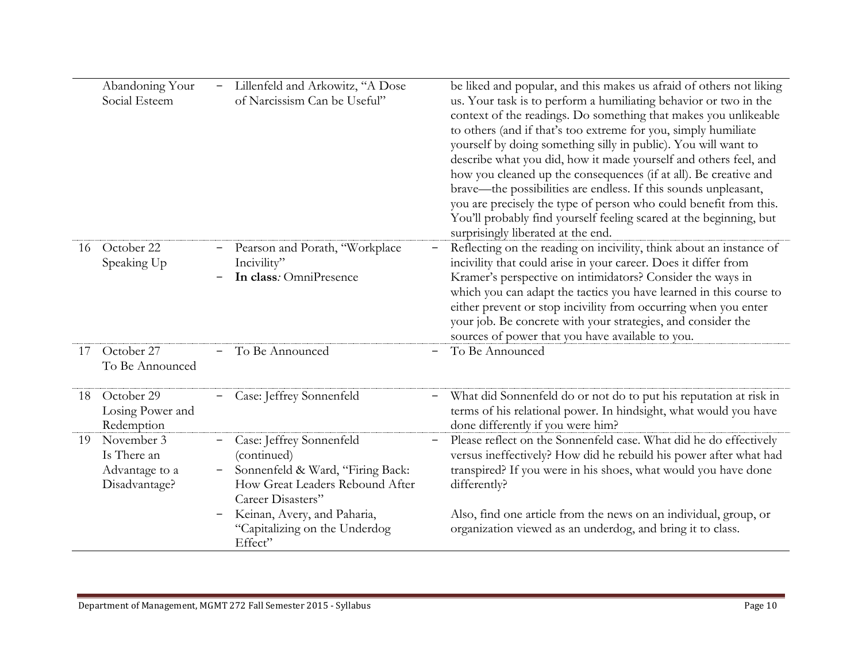|    | Abandoning Your<br>Social Esteem                             | Lillenfeld and Arkowitz, "A Dose<br>of Narcissism Can be Useful"                                                                    | be liked and popular, and this makes us afraid of others not liking<br>us. Your task is to perform a humiliating behavior or two in the<br>context of the readings. Do something that makes you unlikeable<br>to others (and if that's too extreme for you, simply humiliate<br>yourself by doing something silly in public). You will want to<br>describe what you did, how it made yourself and others feel, and<br>how you cleaned up the consequences (if at all). Be creative and<br>brave—the possibilities are endless. If this sounds unpleasant,<br>you are precisely the type of person who could benefit from this.<br>You'll probably find yourself feeling scared at the beginning, but<br>surprisingly liberated at the end. |
|----|--------------------------------------------------------------|-------------------------------------------------------------------------------------------------------------------------------------|--------------------------------------------------------------------------------------------------------------------------------------------------------------------------------------------------------------------------------------------------------------------------------------------------------------------------------------------------------------------------------------------------------------------------------------------------------------------------------------------------------------------------------------------------------------------------------------------------------------------------------------------------------------------------------------------------------------------------------------------|
| 16 | October 22<br>Speaking Up                                    | Pearson and Porath, "Workplace<br>Incivility"<br>In class: OmniPresence                                                             | Reflecting on the reading on incivility, think about an instance of<br>incivility that could arise in your career. Does it differ from<br>Kramer's perspective on intimidators? Consider the ways in<br>which you can adapt the tactics you have learned in this course to<br>either prevent or stop incivility from occurring when you enter<br>your job. Be concrete with your strategies, and consider the<br>sources of power that you have available to you.                                                                                                                                                                                                                                                                          |
| 17 | October 27<br>To Be Announced                                | To Be Announced                                                                                                                     | To Be Announced                                                                                                                                                                                                                                                                                                                                                                                                                                                                                                                                                                                                                                                                                                                            |
| 18 | October 29<br>Losing Power and<br>Redemption                 | Case: Jeffrey Sonnenfeld                                                                                                            | What did Sonnenfeld do or not do to put his reputation at risk in<br>terms of his relational power. In hindsight, what would you have<br>done differently if you were him?                                                                                                                                                                                                                                                                                                                                                                                                                                                                                                                                                                 |
| 19 | November 3<br>Is There an<br>Advantage to a<br>Disadvantage? | Case: Jeffrey Sonnenfeld<br>(continued)<br>Sonnenfeld & Ward, "Firing Back:<br>How Great Leaders Rebound After<br>Career Disasters" | Please reflect on the Sonnenfeld case. What did he do effectively<br>versus ineffectively? How did he rebuild his power after what had<br>transpired? If you were in his shoes, what would you have done<br>differently?                                                                                                                                                                                                                                                                                                                                                                                                                                                                                                                   |
|    |                                                              | Keinan, Avery, and Paharia,<br>"Capitalizing on the Underdog<br>Effect"                                                             | Also, find one article from the news on an individual, group, or<br>organization viewed as an underdog, and bring it to class.                                                                                                                                                                                                                                                                                                                                                                                                                                                                                                                                                                                                             |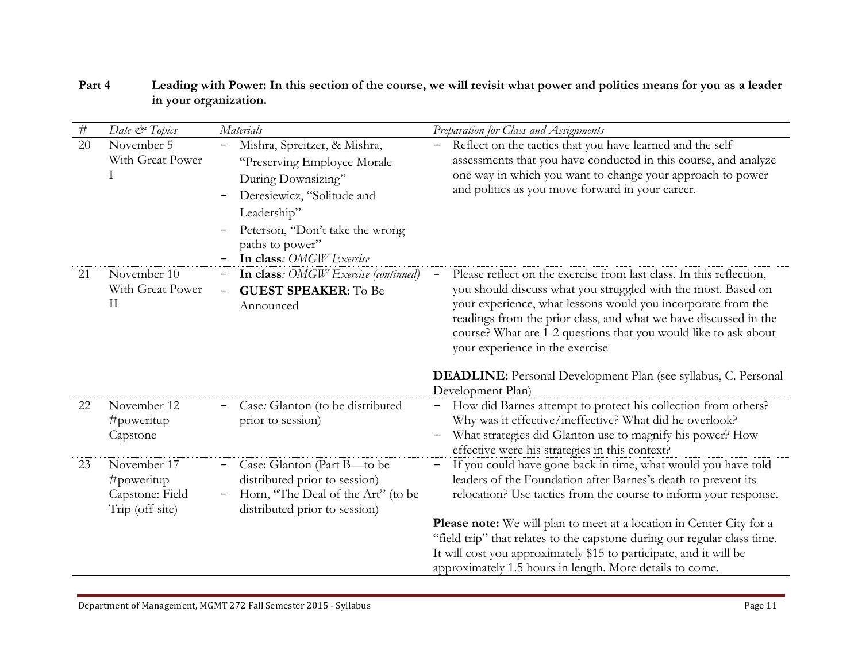| $\#$ | Date & Topics                                                       | Materials                                                                                                                                                                                                        | Preparation for Class and Assignments                                                                                                                                                                                                                                                                                                                                                                                                                                                                  |
|------|---------------------------------------------------------------------|------------------------------------------------------------------------------------------------------------------------------------------------------------------------------------------------------------------|--------------------------------------------------------------------------------------------------------------------------------------------------------------------------------------------------------------------------------------------------------------------------------------------------------------------------------------------------------------------------------------------------------------------------------------------------------------------------------------------------------|
| 20   | November 5<br>With Great Power                                      | Mishra, Spreitzer, & Mishra,<br>"Preserving Employee Morale"<br>During Downsizing"<br>Deresiewicz, "Solitude and<br>Leadership"<br>Peterson, "Don't take the wrong<br>paths to power"<br>In class: OMGW Exercise | Reflect on the tactics that you have learned and the self-<br>assessments that you have conducted in this course, and analyze<br>one way in which you want to change your approach to power<br>and politics as you move forward in your career.                                                                                                                                                                                                                                                        |
| 21   | November 10<br>With Great Power<br>$\prod$                          | In class: OMGW Exercise (continued)<br><b>GUEST SPEAKER: To Be</b><br>Announced                                                                                                                                  | Please reflect on the exercise from last class. In this reflection,<br>you should discuss what you struggled with the most. Based on<br>your experience, what lessons would you incorporate from the<br>readings from the prior class, and what we have discussed in the<br>course? What are 1-2 questions that you would like to ask about<br>your experience in the exercise<br><b>DEADLINE:</b> Personal Development Plan (see syllabus, C. Personal<br>Development Plan)                           |
| 22   | November 12<br>#poweritup<br>Capstone                               | Case: Glanton (to be distributed<br>prior to session)                                                                                                                                                            | How did Barnes attempt to protect his collection from others?<br>Why was it effective/ineffective? What did he overlook?<br>What strategies did Glanton use to magnify his power? How<br>effective were his strategies in this context?                                                                                                                                                                                                                                                                |
| 23   | November 17<br>$\#$ poweritup<br>Capstone: Field<br>Trip (off-site) | Case: Glanton (Part B-to be<br>distributed prior to session)<br>Horn, "The Deal of the Art" (to be<br>distributed prior to session)                                                                              | If you could have gone back in time, what would you have told<br>$-$<br>leaders of the Foundation after Barnes's death to prevent its<br>relocation? Use tactics from the course to inform your response.<br><b>Please note:</b> We will plan to meet at a location in Center City for a<br>"field trip" that relates to the capstone during our regular class time.<br>It will cost you approximately \$15 to participate, and it will be<br>approximately 1.5 hours in length. More details to come. |

# **Part 4 Leading with Power: In this section of the course, we will revisit what power and politics means for you as a leader in your organization.**